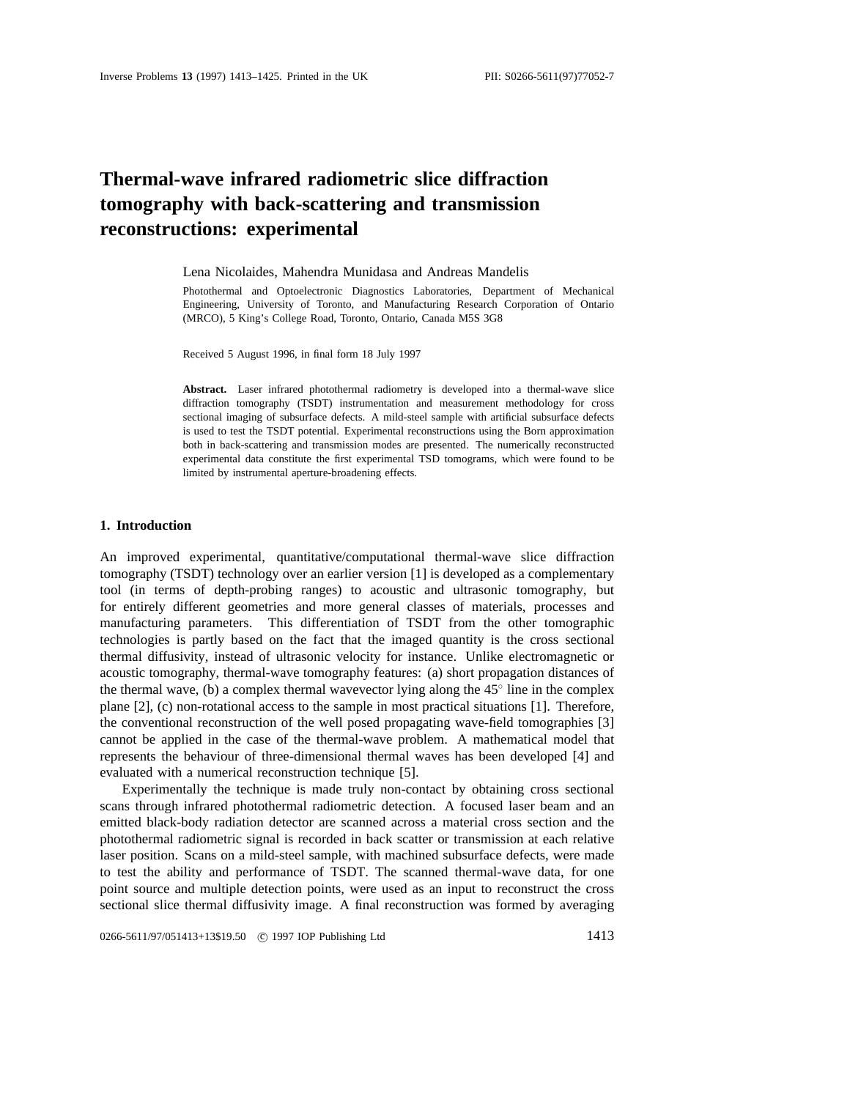# **Thermal-wave infrared radiometric slice diffraction tomography with back-scattering and transmission reconstructions: experimental**

Lena Nicolaides, Mahendra Munidasa and Andreas Mandelis

Photothermal and Optoelectronic Diagnostics Laboratories, Department of Mechanical Engineering, University of Toronto, and Manufacturing Research Corporation of Ontario (MRCO), 5 King's College Road, Toronto, Ontario, Canada M5S 3G8

Received 5 August 1996, in final form 18 July 1997

**Abstract.** Laser infrared photothermal radiometry is developed into a thermal-wave slice diffraction tomography (TSDT) instrumentation and measurement methodology for cross sectional imaging of subsurface defects. A mild-steel sample with artificial subsurface defects is used to test the TSDT potential. Experimental reconstructions using the Born approximation both in back-scattering and transmission modes are presented. The numerically reconstructed experimental data constitute the first experimental TSD tomograms, which were found to be limited by instrumental aperture-broadening effects.

#### **1. Introduction**

An improved experimental, quantitative/computational thermal-wave slice diffraction tomography (TSDT) technology over an earlier version [1] is developed as a complementary tool (in terms of depth-probing ranges) to acoustic and ultrasonic tomography, but for entirely different geometries and more general classes of materials, processes and manufacturing parameters. This differentiation of TSDT from the other tomographic technologies is partly based on the fact that the imaged quantity is the cross sectional thermal diffusivity, instead of ultrasonic velocity for instance. Unlike electromagnetic or acoustic tomography, thermal-wave tomography features: (a) short propagation distances of the thermal wave, (b) a complex thermal wavevector lying along the  $45°$  line in the complex plane [2], (c) non-rotational access to the sample in most practical situations [1]. Therefore, the conventional reconstruction of the well posed propagating wave-field tomographies [3] cannot be applied in the case of the thermal-wave problem. A mathematical model that represents the behaviour of three-dimensional thermal waves has been developed [4] and evaluated with a numerical reconstruction technique [5].

Experimentally the technique is made truly non-contact by obtaining cross sectional scans through infrared photothermal radiometric detection. A focused laser beam and an emitted black-body radiation detector are scanned across a material cross section and the photothermal radiometric signal is recorded in back scatter or transmission at each relative laser position. Scans on a mild-steel sample, with machined subsurface defects, were made to test the ability and performance of TSDT. The scanned thermal-wave data, for one point source and multiple detection points, were used as an input to reconstruct the cross sectional slice thermal diffusivity image. A final reconstruction was formed by averaging

0266-5611/97/051413+13\$19.50 © 1997 IOP Publishing Ltd 1413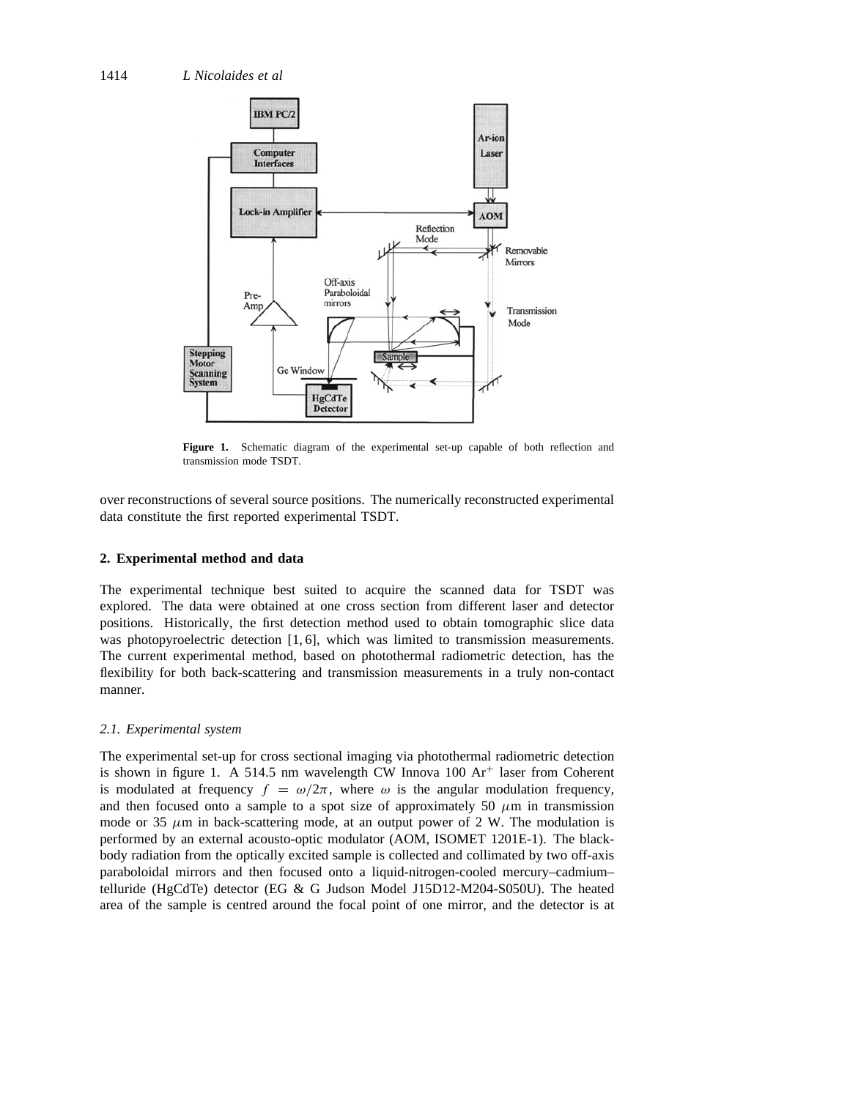

**Figure 1.** Schematic diagram of the experimental set-up capable of both reflection and transmission mode TSDT.

over reconstructions of several source positions. The numerically reconstructed experimental data constitute the first reported experimental TSDT.

## **2. Experimental method and data**

The experimental technique best suited to acquire the scanned data for TSDT was explored. The data were obtained at one cross section from different laser and detector positions. Historically, the first detection method used to obtain tomographic slice data was photopyroelectric detection [1, 6], which was limited to transmission measurements. The current experimental method, based on photothermal radiometric detection, has the flexibility for both back-scattering and transmission measurements in a truly non-contact manner.

## *2.1. Experimental system*

The experimental set-up for cross sectional imaging via photothermal radiometric detection is shown in figure 1. A 514.5 nm wavelength CW Innova  $100 \text{ Ar}^+$  laser from Coherent is modulated at frequency  $f = \omega/2\pi$ , where  $\omega$  is the angular modulation frequency, and then focused onto a sample to a spot size of approximately 50  $\mu$ m in transmission mode or 35  $\mu$ m in back-scattering mode, at an output power of 2 W. The modulation is performed by an external acousto-optic modulator (AOM, ISOMET 1201E-1). The blackbody radiation from the optically excited sample is collected and collimated by two off-axis paraboloidal mirrors and then focused onto a liquid-nitrogen-cooled mercury–cadmium– telluride (HgCdTe) detector (EG & G Judson Model J15D12-M204-S050U). The heated area of the sample is centred around the focal point of one mirror, and the detector is at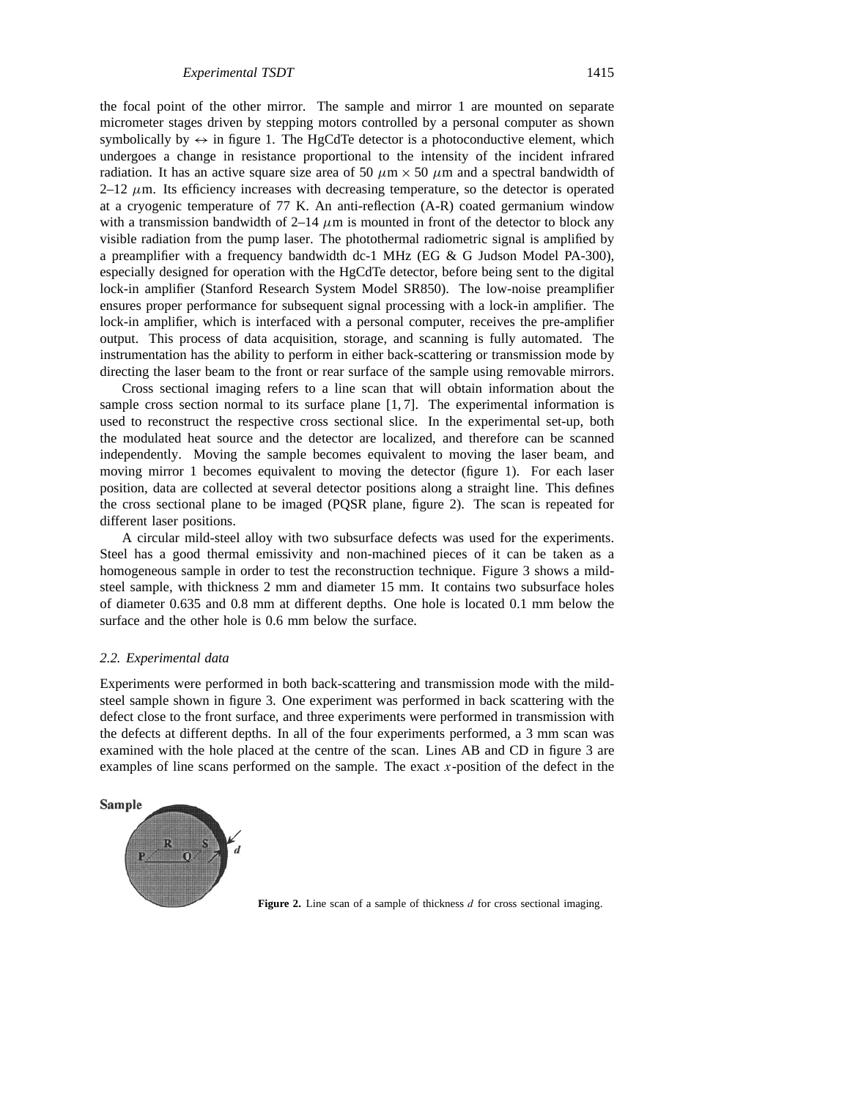the focal point of the other mirror. The sample and mirror 1 are mounted on separate micrometer stages driven by stepping motors controlled by a personal computer as shown symbolically by  $\leftrightarrow$  in figure 1. The HgCdTe detector is a photoconductive element, which undergoes a change in resistance proportional to the intensity of the incident infrared radiation. It has an active square size area of 50  $\mu$ m  $\times$  50  $\mu$ m and a spectral bandwidth of  $2-12 \mu$ m. Its efficiency increases with decreasing temperature, so the detector is operated at a cryogenic temperature of 77 K. An anti-reflection (A-R) coated germanium window with a transmission bandwidth of  $2-14 \mu m$  is mounted in front of the detector to block any visible radiation from the pump laser. The photothermal radiometric signal is amplified by a preamplifier with a frequency bandwidth dc-1 MHz (EG & G Judson Model PA-300), especially designed for operation with the HgCdTe detector, before being sent to the digital lock-in amplifier (Stanford Research System Model SR850). The low-noise preamplifier ensures proper performance for subsequent signal processing with a lock-in amplifier. The lock-in amplifier, which is interfaced with a personal computer, receives the pre-amplifier output. This process of data acquisition, storage, and scanning is fully automated. The instrumentation has the ability to perform in either back-scattering or transmission mode by directing the laser beam to the front or rear surface of the sample using removable mirrors.

Cross sectional imaging refers to a line scan that will obtain information about the sample cross section normal to its surface plane [1,7]. The experimental information is used to reconstruct the respective cross sectional slice. In the experimental set-up, both the modulated heat source and the detector are localized, and therefore can be scanned independently. Moving the sample becomes equivalent to moving the laser beam, and moving mirror 1 becomes equivalent to moving the detector (figure 1). For each laser position, data are collected at several detector positions along a straight line. This defines the cross sectional plane to be imaged (PQSR plane, figure 2). The scan is repeated for different laser positions.

A circular mild-steel alloy with two subsurface defects was used for the experiments. Steel has a good thermal emissivity and non-machined pieces of it can be taken as a homogeneous sample in order to test the reconstruction technique. Figure 3 shows a mildsteel sample, with thickness 2 mm and diameter 15 mm. It contains two subsurface holes of diameter 0.635 and 0.8 mm at different depths. One hole is located 0.1 mm below the surface and the other hole is 0.6 mm below the surface.

## *2.2. Experimental data*

Experiments were performed in both back-scattering and transmission mode with the mildsteel sample shown in figure 3. One experiment was performed in back scattering with the defect close to the front surface, and three experiments were performed in transmission with the defects at different depths. In all of the four experiments performed, a 3 mm scan was examined with the hole placed at the centre of the scan. Lines AB and CD in figure 3 are examples of line scans performed on the sample. The exact *x*-position of the defect in the



**Figure 2.** Line scan of a sample of thickness *d* for cross sectional imaging.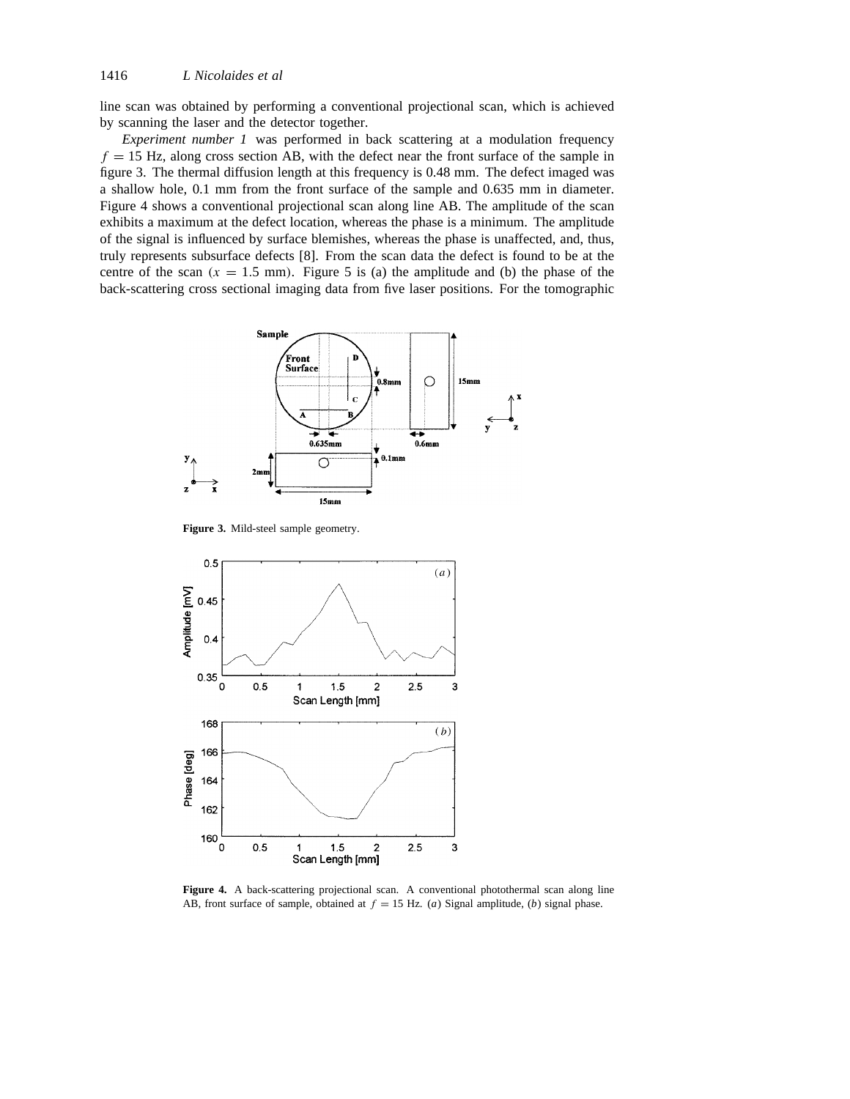line scan was obtained by performing a conventional projectional scan, which is achieved by scanning the laser and the detector together.

*Experiment number 1* was performed in back scattering at a modulation frequency  $f = 15$  Hz, along cross section AB, with the defect near the front surface of the sample in figure 3. The thermal diffusion length at this frequency is 0.48 mm. The defect imaged was a shallow hole, 0.1 mm from the front surface of the sample and 0.635 mm in diameter. Figure 4 shows a conventional projectional scan along line AB. The amplitude of the scan exhibits a maximum at the defect location, whereas the phase is a minimum. The amplitude of the signal is influenced by surface blemishes, whereas the phase is unaffected, and, thus, truly represents subsurface defects [8]. From the scan data the defect is found to be at the centre of the scan  $(x = 1.5 \text{ mm})$ . Figure 5 is (a) the amplitude and (b) the phase of the back-scattering cross sectional imaging data from five laser positions. For the tomographic



**Figure 3.** Mild-steel sample geometry.



Figure 4. A back-scattering projectional scan. A conventional photothermal scan along line AB, front surface of sample, obtained at  $f = 15$  Hz. (*a*) Signal amplitude, (*b*) signal phase.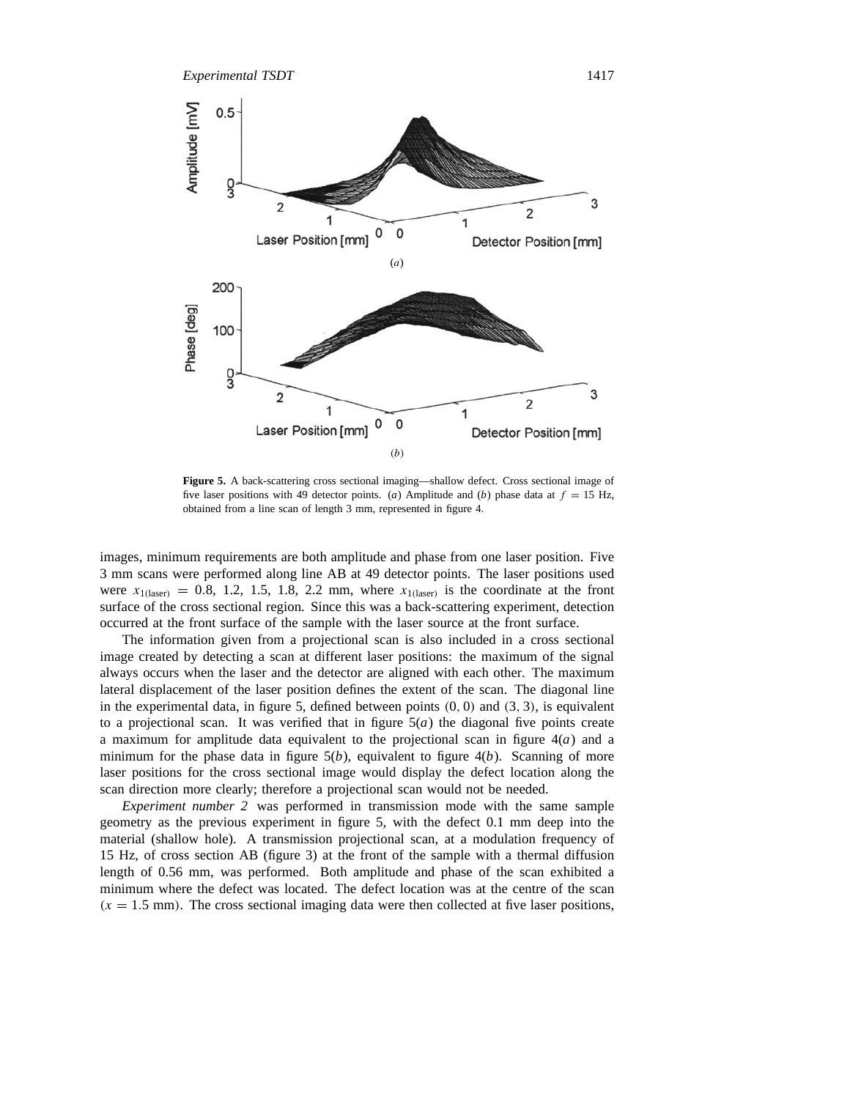

**Figure 5.** A back-scattering cross sectional imaging—shallow defect. Cross sectional image of five laser positions with 49 detector points. (*a*) Amplitude and (*b*) phase data at  $f = 15$  Hz, obtained from a line scan of length 3 mm, represented in figure 4.

images, minimum requirements are both amplitude and phase from one laser position. Five 3 mm scans were performed along line AB at 49 detector points. The laser positions used were  $x_{1$ <sup>(laser</sup>) = 0.8, 1.2, 1.5, 1.8, 2.2 mm, where  $x_{1}$ <sup>(laser)</sup> is the coordinate at the front surface of the cross sectional region. Since this was a back-scattering experiment, detection occurred at the front surface of the sample with the laser source at the front surface.

The information given from a projectional scan is also included in a cross sectional image created by detecting a scan at different laser positions: the maximum of the signal always occurs when the laser and the detector are aligned with each other. The maximum lateral displacement of the laser position defines the extent of the scan. The diagonal line in the experimental data, in figure 5, defined between points *(*0*,* 0*)* and *(*3*,* 3*)*, is equivalent to a projectional scan. It was verified that in figure  $5(a)$  the diagonal five points create a maximum for amplitude data equivalent to the projectional scan in figure 4(*a*) and a minimum for the phase data in figure  $5(b)$ , equivalent to figure  $4(b)$ . Scanning of more laser positions for the cross sectional image would display the defect location along the scan direction more clearly; therefore a projectional scan would not be needed.

*Experiment number 2* was performed in transmission mode with the same sample geometry as the previous experiment in figure 5, with the defect 0.1 mm deep into the material (shallow hole). A transmission projectional scan, at a modulation frequency of 15 Hz, of cross section AB (figure 3) at the front of the sample with a thermal diffusion length of 0.56 mm, was performed. Both amplitude and phase of the scan exhibited a minimum where the defect was located. The defect location was at the centre of the scan  $(x = 1.5 \text{ mm})$ . The cross sectional imaging data were then collected at five laser positions,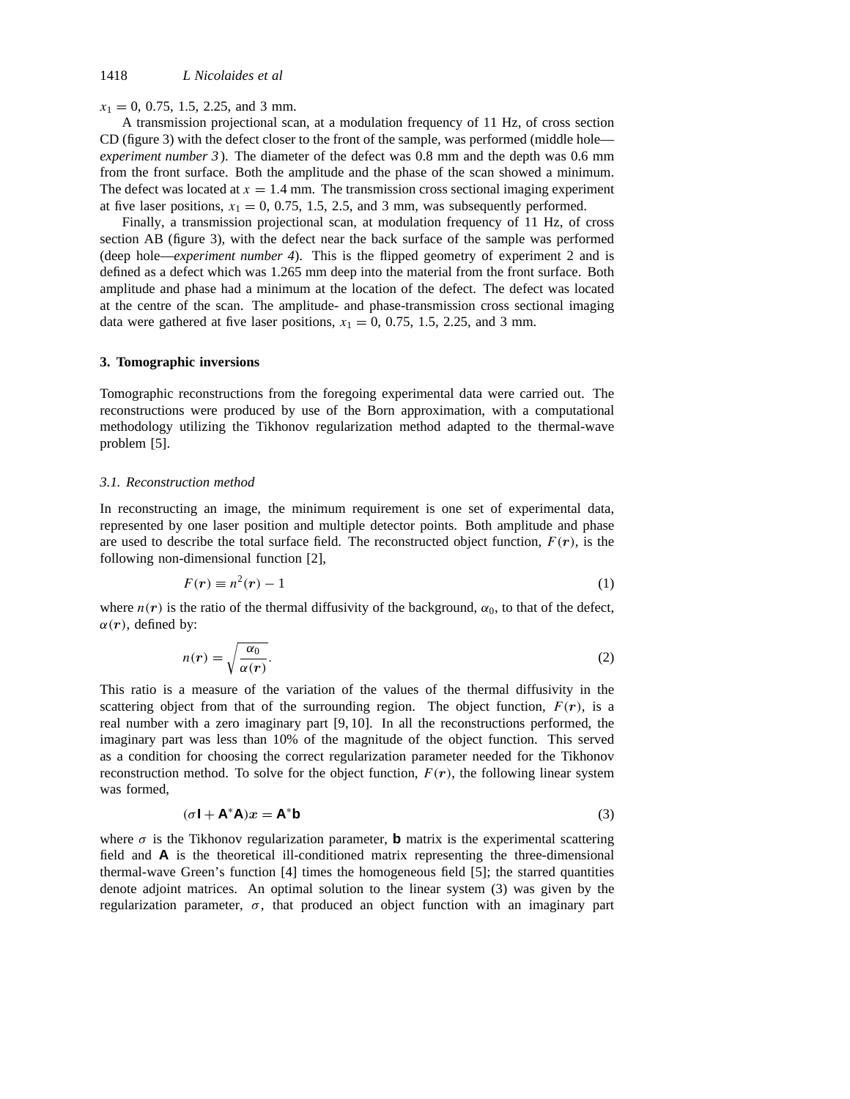$x_1 = 0$ , 0.75, 1.5, 2.25, and 3 mm.

A transmission projectional scan, at a modulation frequency of 11 Hz, of cross section CD (figure 3) with the defect closer to the front of the sample, was performed (middle hole *experiment number 3* ). The diameter of the defect was 0.8 mm and the depth was 0.6 mm from the front surface. Both the amplitude and the phase of the scan showed a minimum. The defect was located at  $x = 1.4$  mm. The transmission cross sectional imaging experiment at five laser positions,  $x_1 = 0$ , 0.75, 1.5, 2.5, and 3 mm, was subsequently performed.

Finally, a transmission projectional scan, at modulation frequency of 11 Hz, of cross section AB (figure 3), with the defect near the back surface of the sample was performed (deep hole—*experiment number 4*). This is the flipped geometry of experiment 2 and is defined as a defect which was 1.265 mm deep into the material from the front surface. Both amplitude and phase had a minimum at the location of the defect. The defect was located at the centre of the scan. The amplitude- and phase-transmission cross sectional imaging data were gathered at five laser positions,  $x_1 = 0$ , 0.75, 1.5, 2.25, and 3 mm.

## **3. Tomographic inversions**

Tomographic reconstructions from the foregoing experimental data were carried out. The reconstructions were produced by use of the Born approximation, with a computational methodology utilizing the Tikhonov regularization method adapted to the thermal-wave problem [5].

#### *3.1. Reconstruction method*

In reconstructing an image, the minimum requirement is one set of experimental data, represented by one laser position and multiple detector points. Both amplitude and phase are used to describe the total surface field. The reconstructed object function,  $F(r)$ , is the following non-dimensional function [2],

$$
F(r) \equiv n^2(r) - 1 \tag{1}
$$

where  $n(r)$  is the ratio of the thermal diffusivity of the background,  $\alpha_0$ , to that of the defect,  $\alpha(r)$ , defined by:

$$
n(r) = \sqrt{\frac{\alpha_0}{\alpha(r)}}.
$$
 (2)

This ratio is a measure of the variation of the values of the thermal diffusivity in the scattering object from that of the surrounding region. The object function,  $F(r)$ , is a real number with a zero imaginary part [9, 10]. In all the reconstructions performed, the imaginary part was less than 10% of the magnitude of the object function. This served as a condition for choosing the correct regularization parameter needed for the Tikhonov reconstruction method. To solve for the object function,  $F(r)$ , the following linear system was formed,

$$
(\sigma \mathbf{I} + \mathbf{A}^* \mathbf{A})x = \mathbf{A}^* \mathbf{b}
$$
 (3)

where  $\sigma$  is the Tikhonov regularization parameter, **b** matrix is the experimental scattering field and **A** is the theoretical ill-conditioned matrix representing the three-dimensional thermal-wave Green's function [4] times the homogeneous field [5]; the starred quantities denote adjoint matrices. An optimal solution to the linear system (3) was given by the regularization parameter, *σ*, that produced an object function with an imaginary part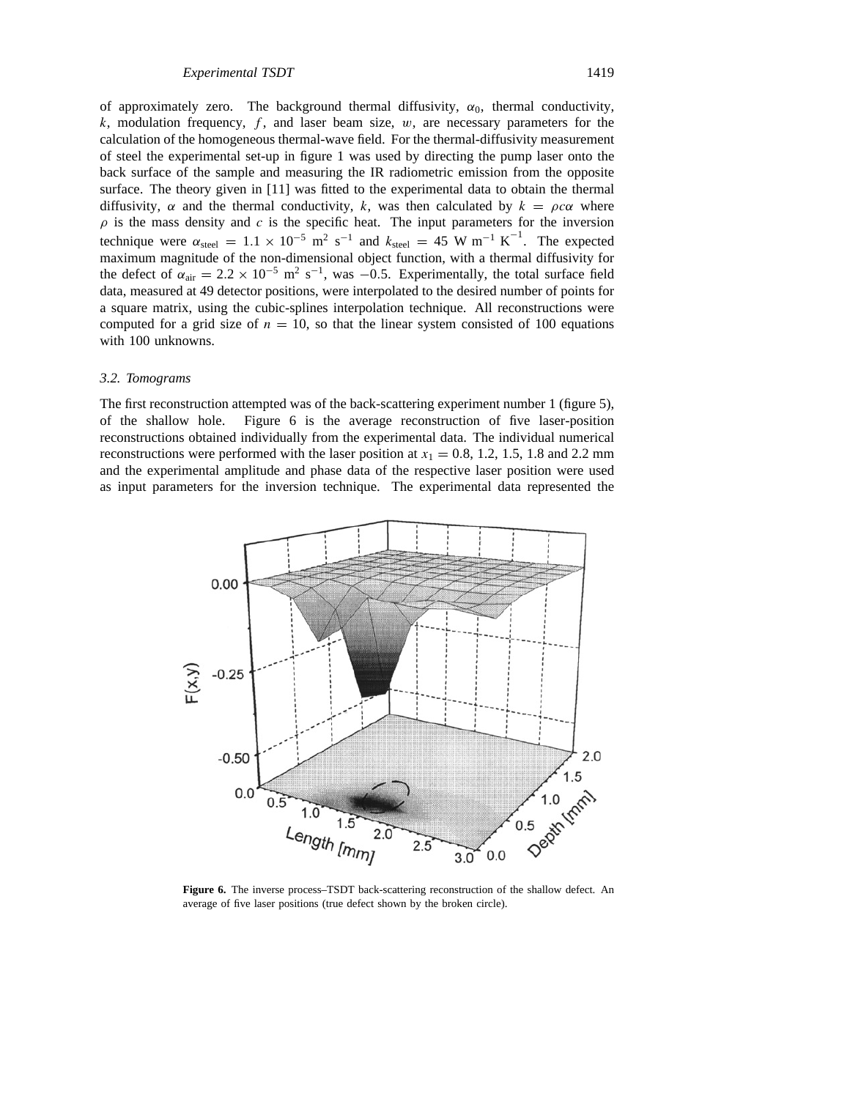of approximately zero. The background thermal diffusivity,  $\alpha_0$ , thermal conductivity, *k*, modulation frequency, *f* , and laser beam size, *w*, are necessary parameters for the calculation of the homogeneous thermal-wave field. For the thermal-diffusivity measurement of steel the experimental set-up in figure 1 was used by directing the pump laser onto the back surface of the sample and measuring the IR radiometric emission from the opposite surface. The theory given in [11] was fitted to the experimental data to obtain the thermal diffusivity,  $\alpha$  and the thermal conductivity, k, was then calculated by  $k = \rho c \alpha$  where  $\rho$  is the mass density and *c* is the specific heat. The input parameters for the inversion technique were  $\alpha_{\text{steel}} = 1.1 \times 10^{-5} \text{ m}^2 \text{ s}^{-1}$  and  $k_{\text{steel}} = 45 \text{ W m}^{-1} \text{ K}^{-1}$ . The expected maximum magnitude of the non-dimensional object function, with a thermal diffusivity for the defect of  $\alpha_{\text{air}} = 2.2 \times 10^{-5} \text{ m}^2 \text{ s}^{-1}$ , was  $-0.5$ . Experimentally, the total surface field data, measured at 49 detector positions, were interpolated to the desired number of points for a square matrix, using the cubic-splines interpolation technique. All reconstructions were computed for a grid size of  $n = 10$ , so that the linear system consisted of 100 equations with 100 unknowns.

#### *3.2. Tomograms*

The first reconstruction attempted was of the back-scattering experiment number 1 (figure 5), of the shallow hole. Figure 6 is the average reconstruction of five laser-position reconstructions obtained individually from the experimental data. The individual numerical reconstructions were performed with the laser position at  $x_1 = 0.8$ , 1.2, 1.5, 1.8 and 2.2 mm and the experimental amplitude and phase data of the respective laser position were used as input parameters for the inversion technique. The experimental data represented the



**Figure 6.** The inverse process–TSDT back-scattering reconstruction of the shallow defect. An average of five laser positions (true defect shown by the broken circle).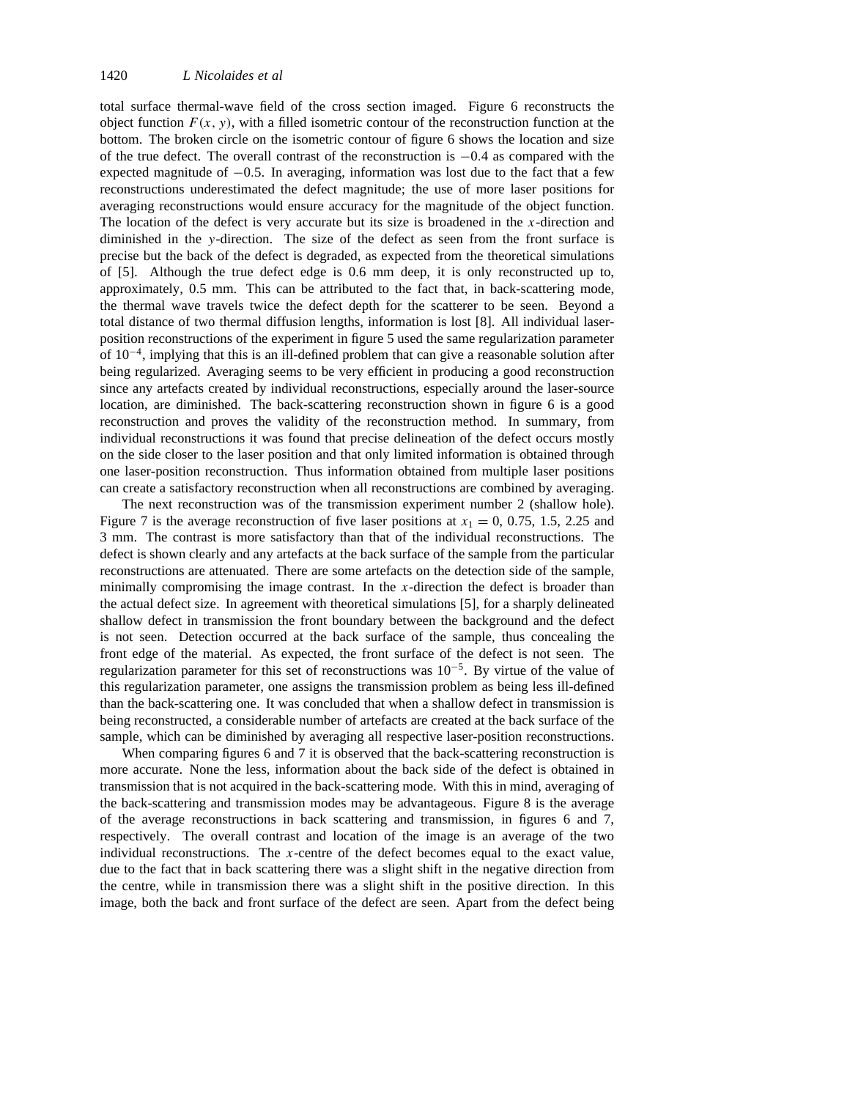total surface thermal-wave field of the cross section imaged. Figure 6 reconstructs the object function  $F(x, y)$ , with a filled isometric contour of the reconstruction function at the bottom. The broken circle on the isometric contour of figure 6 shows the location and size of the true defect. The overall contrast of the reconstruction is −0*.*4 as compared with the expected magnitude of −0*.*5. In averaging, information was lost due to the fact that a few reconstructions underestimated the defect magnitude; the use of more laser positions for averaging reconstructions would ensure accuracy for the magnitude of the object function. The location of the defect is very accurate but its size is broadened in the *x*-direction and diminished in the *y*-direction. The size of the defect as seen from the front surface is precise but the back of the defect is degraded, as expected from the theoretical simulations of [5]. Although the true defect edge is 0.6 mm deep, it is only reconstructed up to, approximately, 0.5 mm. This can be attributed to the fact that, in back-scattering mode, the thermal wave travels twice the defect depth for the scatterer to be seen. Beyond a total distance of two thermal diffusion lengths, information is lost [8]. All individual laserposition reconstructions of the experiment in figure 5 used the same regularization parameter of 10−4, implying that this is an ill-defined problem that can give a reasonable solution after being regularized. Averaging seems to be very efficient in producing a good reconstruction since any artefacts created by individual reconstructions, especially around the laser-source location, are diminished. The back-scattering reconstruction shown in figure 6 is a good reconstruction and proves the validity of the reconstruction method. In summary, from individual reconstructions it was found that precise delineation of the defect occurs mostly on the side closer to the laser position and that only limited information is obtained through one laser-position reconstruction. Thus information obtained from multiple laser positions can create a satisfactory reconstruction when all reconstructions are combined by averaging.

The next reconstruction was of the transmission experiment number 2 (shallow hole). Figure 7 is the average reconstruction of five laser positions at  $x_1 = 0$ , 0.75, 1.5, 2.25 and 3 mm. The contrast is more satisfactory than that of the individual reconstructions. The defect is shown clearly and any artefacts at the back surface of the sample from the particular reconstructions are attenuated. There are some artefacts on the detection side of the sample, minimally compromising the image contrast. In the *x*-direction the defect is broader than the actual defect size. In agreement with theoretical simulations [5], for a sharply delineated shallow defect in transmission the front boundary between the background and the defect is not seen. Detection occurred at the back surface of the sample, thus concealing the front edge of the material. As expected, the front surface of the defect is not seen. The regularization parameter for this set of reconstructions was  $10^{-5}$ . By virtue of the value of this regularization parameter, one assigns the transmission problem as being less ill-defined than the back-scattering one. It was concluded that when a shallow defect in transmission is being reconstructed, a considerable number of artefacts are created at the back surface of the sample, which can be diminished by averaging all respective laser-position reconstructions.

When comparing figures 6 and 7 it is observed that the back-scattering reconstruction is more accurate. None the less, information about the back side of the defect is obtained in transmission that is not acquired in the back-scattering mode. With this in mind, averaging of the back-scattering and transmission modes may be advantageous. Figure 8 is the average of the average reconstructions in back scattering and transmission, in figures 6 and 7, respectively. The overall contrast and location of the image is an average of the two individual reconstructions. The *x*-centre of the defect becomes equal to the exact value, due to the fact that in back scattering there was a slight shift in the negative direction from the centre, while in transmission there was a slight shift in the positive direction. In this image, both the back and front surface of the defect are seen. Apart from the defect being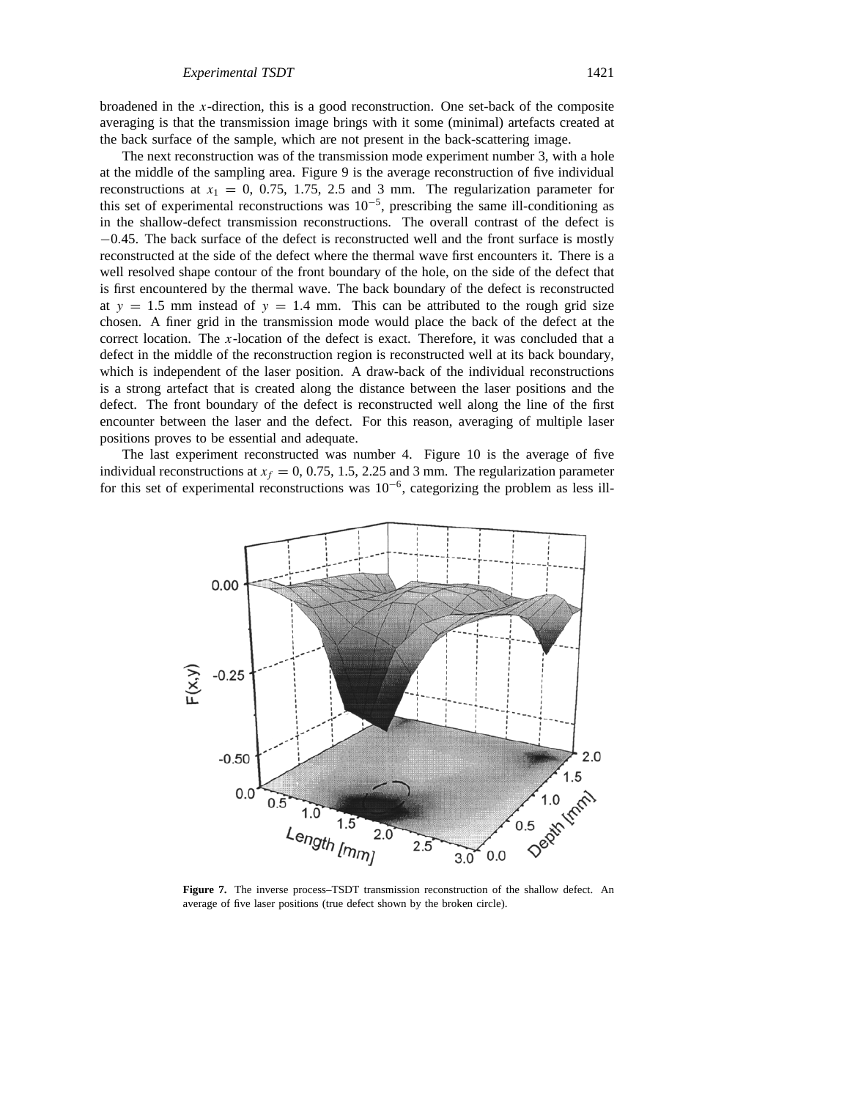broadened in the *x*-direction, this is a good reconstruction. One set-back of the composite averaging is that the transmission image brings with it some (minimal) artefacts created at the back surface of the sample, which are not present in the back-scattering image.

The next reconstruction was of the transmission mode experiment number 3, with a hole at the middle of the sampling area. Figure 9 is the average reconstruction of five individual reconstructions at  $x_1 = 0$ , 0.75, 1.75, 2.5 and 3 mm. The regularization parameter for this set of experimental reconstructions was  $10^{-5}$ , prescribing the same ill-conditioning as in the shallow-defect transmission reconstructions. The overall contrast of the defect is −0*.*45. The back surface of the defect is reconstructed well and the front surface is mostly reconstructed at the side of the defect where the thermal wave first encounters it. There is a well resolved shape contour of the front boundary of the hole, on the side of the defect that is first encountered by the thermal wave. The back boundary of the defect is reconstructed at  $y = 1.5$  mm instead of  $y = 1.4$  mm. This can be attributed to the rough grid size chosen. A finer grid in the transmission mode would place the back of the defect at the correct location. The *x*-location of the defect is exact. Therefore, it was concluded that a defect in the middle of the reconstruction region is reconstructed well at its back boundary, which is independent of the laser position. A draw-back of the individual reconstructions is a strong artefact that is created along the distance between the laser positions and the defect. The front boundary of the defect is reconstructed well along the line of the first encounter between the laser and the defect. For this reason, averaging of multiple laser positions proves to be essential and adequate.

The last experiment reconstructed was number 4. Figure 10 is the average of five individual reconstructions at  $x_f = 0, 0.75, 1.5, 2.25$  and 3 mm. The regularization parameter for this set of experimental reconstructions was 10−6, categorizing the problem as less ill-



**Figure 7.** The inverse process–TSDT transmission reconstruction of the shallow defect. An average of five laser positions (true defect shown by the broken circle).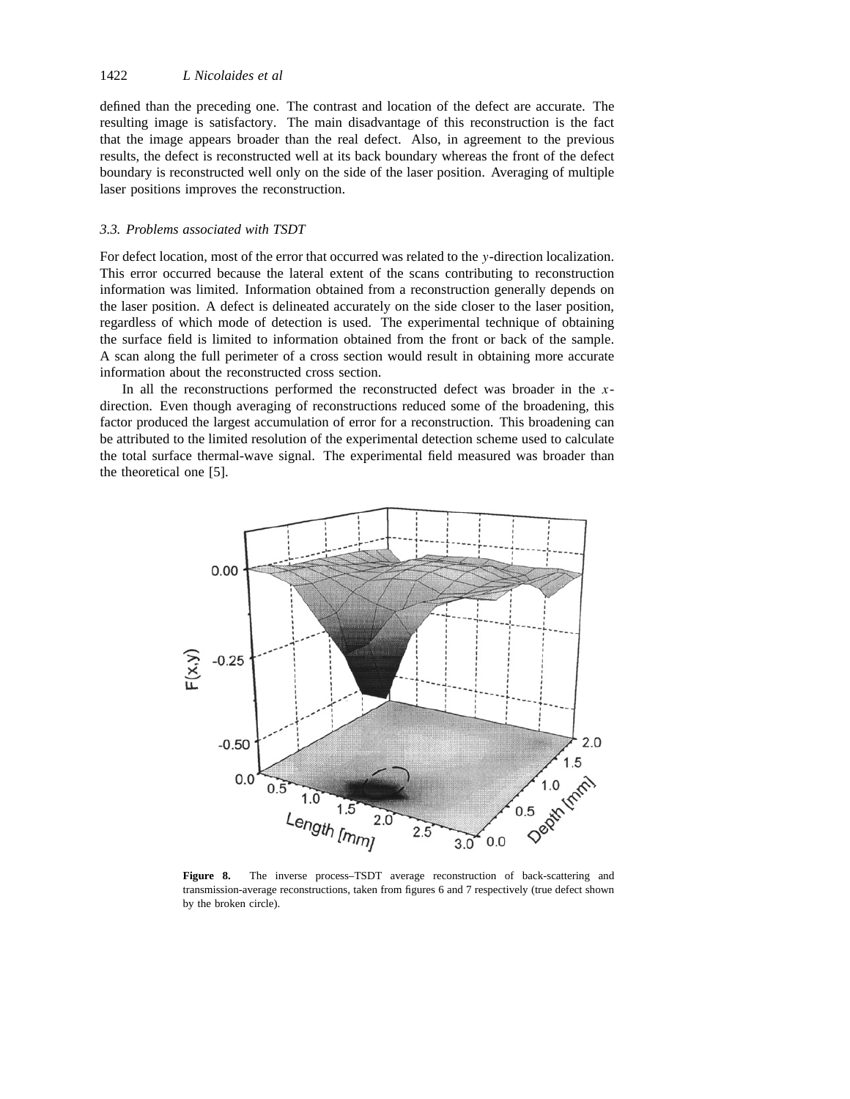defined than the preceding one. The contrast and location of the defect are accurate. The resulting image is satisfactory. The main disadvantage of this reconstruction is the fact that the image appears broader than the real defect. Also, in agreement to the previous results, the defect is reconstructed well at its back boundary whereas the front of the defect boundary is reconstructed well only on the side of the laser position. Averaging of multiple laser positions improves the reconstruction.

## *3.3. Problems associated with TSDT*

For defect location, most of the error that occurred was related to the *y*-direction localization. This error occurred because the lateral extent of the scans contributing to reconstruction information was limited. Information obtained from a reconstruction generally depends on the laser position. A defect is delineated accurately on the side closer to the laser position, regardless of which mode of detection is used. The experimental technique of obtaining the surface field is limited to information obtained from the front or back of the sample. A scan along the full perimeter of a cross section would result in obtaining more accurate information about the reconstructed cross section.

In all the reconstructions performed the reconstructed defect was broader in the *x*direction. Even though averaging of reconstructions reduced some of the broadening, this factor produced the largest accumulation of error for a reconstruction. This broadening can be attributed to the limited resolution of the experimental detection scheme used to calculate the total surface thermal-wave signal. The experimental field measured was broader than the theoretical one [5].



**Figure 8.** The inverse process–TSDT average reconstruction of back-scattering and transmission-average reconstructions, taken from figures 6 and 7 respectively (true defect shown by the broken circle).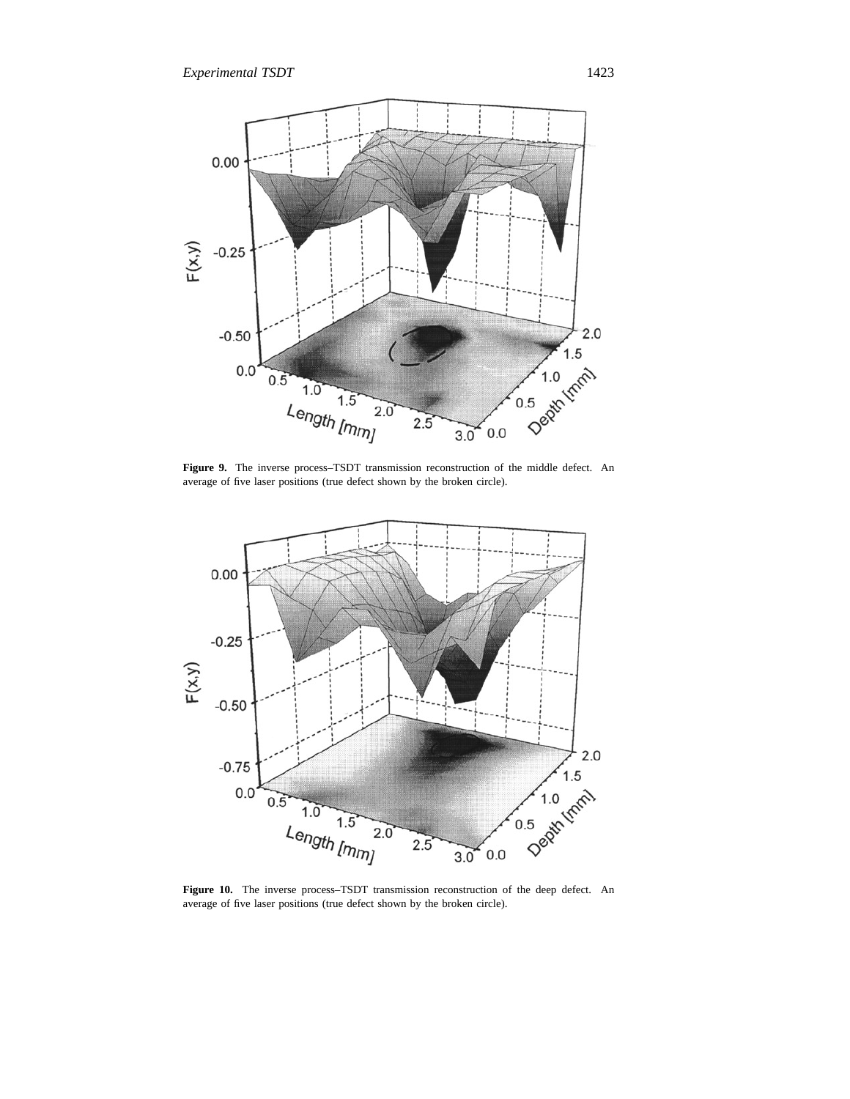

**Figure 9.** The inverse process–TSDT transmission reconstruction of the middle defect. An average of five laser positions (true defect shown by the broken circle).



**Figure 10.** The inverse process–TSDT transmission reconstruction of the deep defect. An average of five laser positions (true defect shown by the broken circle).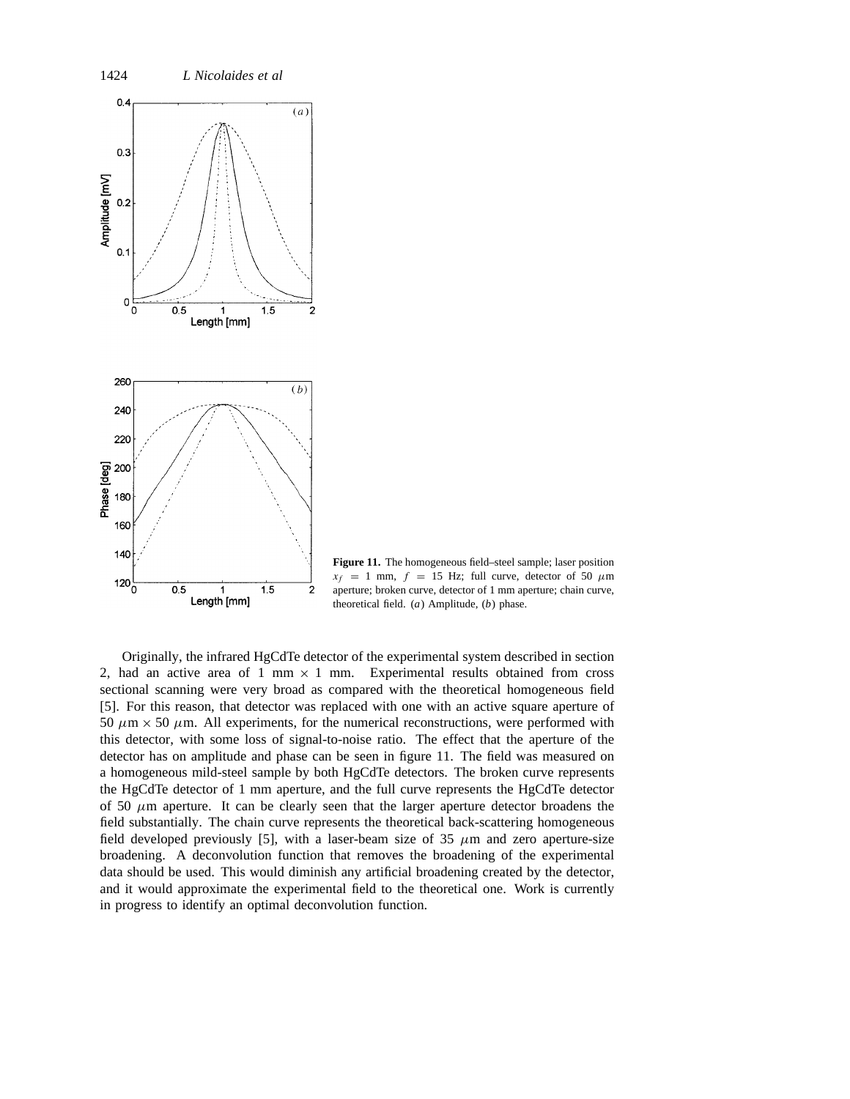

**Figure 11.** The homogeneous field–steel sample; laser position  $x_f = 1$  mm,  $f = 15$  Hz; full curve, detector of 50  $\mu$ m aperture; broken curve, detector of 1 mm aperture; chain curve, theoretical field. (*a*) Amplitude, (*b*) phase.

Originally, the infrared HgCdTe detector of the experimental system described in section 2, had an active area of 1 mm  $\times$  1 mm. Experimental results obtained from cross sectional scanning were very broad as compared with the theoretical homogeneous field [5]. For this reason, that detector was replaced with one with an active square aperture of 50  $\mu$ m  $\times$  50  $\mu$ m. All experiments, for the numerical reconstructions, were performed with this detector, with some loss of signal-to-noise ratio. The effect that the aperture of the detector has on amplitude and phase can be seen in figure 11. The field was measured on a homogeneous mild-steel sample by both HgCdTe detectors. The broken curve represents the HgCdTe detector of 1 mm aperture, and the full curve represents the HgCdTe detector of 50  $\mu$ m aperture. It can be clearly seen that the larger aperture detector broadens the field substantially. The chain curve represents the theoretical back-scattering homogeneous field developed previously [5], with a laser-beam size of  $35 \mu m$  and zero aperture-size broadening. A deconvolution function that removes the broadening of the experimental data should be used. This would diminish any artificial broadening created by the detector, and it would approximate the experimental field to the theoretical one. Work is currently in progress to identify an optimal deconvolution function.